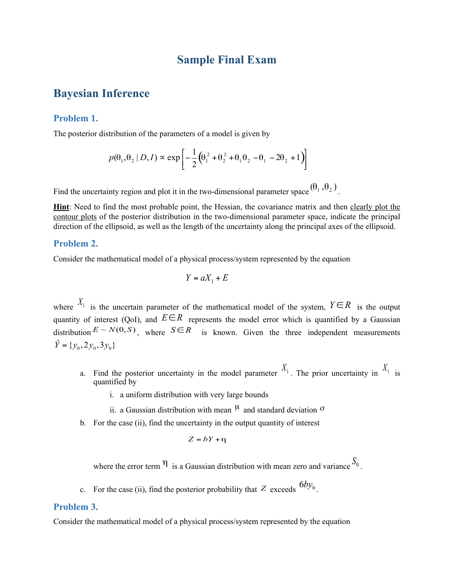# **Sample Final Exam**

# **Bayesian Inference**

### **Problem 1.**

The posterior distribution of the parameters of a model is given by

$$
p(\theta_1, \theta_2 \mid D, I) \propto \exp\left[-\frac{1}{2}(\theta_1^2 + \theta_2^2 + \theta_1\theta_2 - \theta_1 - 2\theta_2 + 1)\right]
$$

Find the uncertainty region and plot it in the two-dimensional parameter space  $(\theta_1, \theta_2)$ .

**Hint**: Need to find the most probable point, the Hessian, the covariance matrix and then clearly plot the contour plots of the posterior distribution in the two-dimensional parameter space, indicate the principal direction of the ellipsoid, as well as the length of the uncertainty along the principal axes of the ellipsoid.

#### **Problem 2.**

Consider the mathematical model of a physical process/system represented by the equation

$$
Y = aX_1 + E
$$

where  $X_1$  is the uncertain parameter of the mathematical model of the system,  $Y \in R$  is the output quantity of interest (QoI), and  $E \in \mathbb{R}$  represents the model error which is quantified by a Gaussian distribution  $E \sim N(0, S)$ , where  $S \in \mathbb{R}$  is known. Given the three independent measurements  $\hat{Y} = \{y_0, 2y_0, 3y_0\}$ 

- a. Find the posterior uncertainty in the model parameter  $X_1$ . The prior uncertainty in  $X_1$  is quantified by
	- i. a uniform distribution with very large bounds
	- ii. a Gaussian distribution with mean  $\mu$  and standard deviation  $\sigma$
- b. For the case (ii), find the uncertainty in the output quantity of interest

$$
Z = bY + \eta
$$

where the error term  $\eta$  is a Gaussian distribution with mean zero and variance  $S_0$ .

c. For the case (ii), find the posterior probability that  $Z$  exceeds  $6by_0$ .

#### **Problem 3.**

Consider the mathematical model of a physical process/system represented by the equation